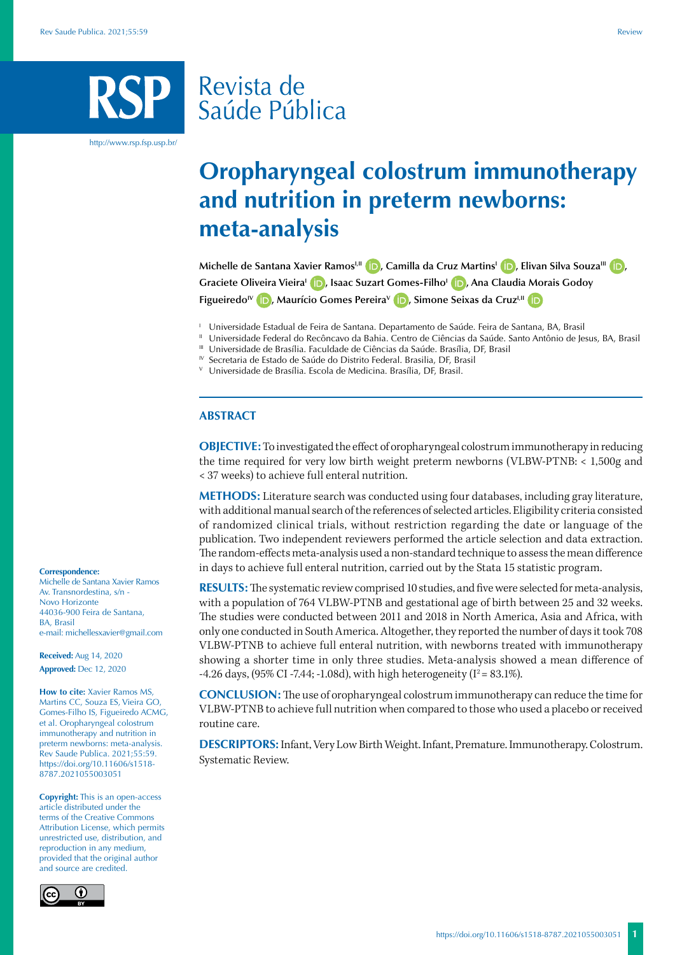# Revista de Saúde Pública

http://www.rsp.fsp.usp.br/

# **Oropharyngeal colostrum immunotherapy and nutrition in preterm newborns: meta-analysis**

**Michelle de Santana Xavier RamosI,II [,](https://orcid.org/0000-0001-6679-207X) Camilla da Cruz MartinsI [,](https://orcid.org/0000-0002-6946-4618) Elivan Silva SouzaIII [,](https://orcid.org/0000-0001-5143-2362) Graciete Oliveira VieiraI [,](https://orcid.org/0000-0001-5354-718X) Isaac Suzart Gomes-FilhoI [,](https://orcid.org/0000-0002-4270-8491) Ana Claudia Morais Godoy Figueiredo<sup>IV</sup> <b>iD**[,](https://orcid.org/0000-0001-9512-3502) Maurício Gomes Pereira<sup>V</sup> **ID**, Simone Seixas da Cruz<sup>I,II</sup> **iD** 

<sup>1</sup> Universidade Estadual de Feira de Santana. Departamento de Saúde. Feira de Santana, BA, Brasil

<sup>II</sup> Universidade Federal do Recôncavo da Bahia. Centro de Ciências da Saúde. Santo Antônio de Jesus, BA, Brasil<br><sup>III</sup> Universidade de Brasília. Faculdade de Ciências da Saúde. Brasília, DF, Brasil

- 
- IV Secretaria de Estado de Saúde do Distrito Federal. Brasilia, DF, Brasil

<sup>V</sup> Universidade de Brasília. Escola de Medicina. Brasília, DF, Brasil.

# **ABSTRACT**

**OBJECTIVE:** To investigated the effect of oropharyngeal colostrum immunotherapy in reducing the time required for very low birth weight preterm newborns (VLBW-PTNB: < 1,500g and < 37 weeks) to achieve full enteral nutrition.

**METHODS:** Literature search was conducted using four databases, including gray literature, with additional manual search of the references of selected articles. Eligibility criteria consisted of randomized clinical trials, without restriction regarding the date or language of the publication. Two independent reviewers performed the article selection and data extraction. The random-effects meta-analysis used a non-standard technique to assess the mean difference in days to achieve full enteral nutrition, carried out by the Stata 15 statistic program.

**RESULTS:** The systematic review comprised 10 studies, and five were selected for meta-analysis, with a population of 764 VLBW-PTNB and gestational age of birth between 25 and 32 weeks. The studies were conducted between 2011 and 2018 in North America, Asia and Africa, with only one conducted in South America. Altogether, they reported the number of days it took 708 VLBW-PTNB to achieve full enteral nutrition, with newborns treated with immunotherapy showing a shorter time in only three studies. Meta-analysis showed a mean difference of -4.26 days,  $(95\% \text{ CI } -7.44; -1.08d)$ , with high heterogeneity  $(I^2 = 83.1\%).$ 

**CONCLUSION:** The use of oropharyngeal colostrum immunotherapy can reduce the time for VLBW-PTNB to achieve full nutrition when compared to those who used a placebo or received routine care.

**DESCRIPTORS:** Infant, Very Low Birth Weight. Infant, Premature. Immunotherapy. Colostrum. Systematic Review.

#### **Correspondence:**

Michelle de Santana Xavier Ramos Av. Transnordestina, s/n - Novo Horizonte 44036-900 Feira de Santana, BA, Brasil e-mail: michellesxavier@gmail.com

**Received:** Aug 14, 2020 **Approved:** Dec 12, 2020

**How to cite:** Xavier Ramos MS, Martins CC, Souza ES, Vieira GO, Gomes-Filho IS, Figueiredo ACMG, et al. Oropharyngeal colostrum immunotherapy and nutrition in preterm newborns: meta-analysis. Rev Saude Publica. 2021;55:59. https://doi.org/10.11606/s1518- 8787.2021055003051

**Copyright:** This is an open-access article distributed under the terms of the Creative Commons Attribution License, which permits unrestricted use, distribution, and reproduction in any medium, provided that the original author and source are credited.

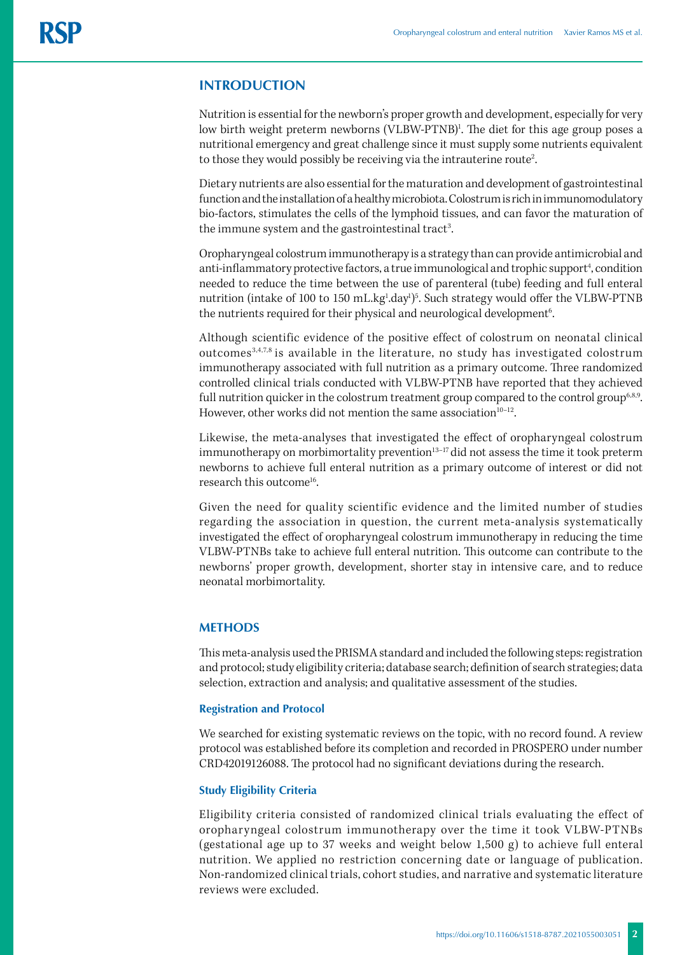# **INTRODUCTION**

Nutrition is essential for the newborn's proper growth and development, especially for very low birth weight preterm newborns (VLBW-PTNB)<sup>1</sup>. The diet for this age group poses a nutritional emergency and great challenge since it must supply some nutrients equivalent to those they would possibly be receiving via the intrauterine route<sup>2</sup>. .

Dietary nutrients are also essential for the maturation and development of gastrointestinal function and the installation of a healthy microbiota. Colostrum is rich in immunomodulatory bio-factors, stimulates the cells of the lymphoid tissues, and can favor the maturation of the immune system and the gastrointestinal tract<sup>3</sup>. .

Oropharyngeal colostrum immunotherapy is a strategy than can provide antimicrobial and anti-inflammatory protective factors, a true immunological and trophic support<sup>4</sup>, condition needed to reduce the time between the use of parenteral (tube) feeding and full enteral nutrition (intake of 100 to 150 mL.kg<sup>1</sup>.day<sup>1</sup>)<sup>5</sup>. Such strategy would offer the VLBW-PTNB the nutrients required for their physical and neurological development<sup>6</sup>. .

Although scientific evidence of the positive effect of colostrum on neonatal clinical outcomes3,4,7,8 is available in the literature, no study has investigated colostrum immunotherapy associated with full nutrition as a primary outcome. Three randomized controlled clinical trials conducted with VLBW-PTNB have reported that they achieved full nutrition quicker in the colostrum treatment group compared to the control group<sup>6,8,9</sup>. However, other works did not mention the same association $10-12$ .

Likewise, the meta-analyses that investigated the effect of oropharyngeal colostrum immunotherapy on morbimortality prevention $13-17$  did not assess the time it took preterm newborns to achieve full enteral nutrition as a primary outcome of interest or did not research this outcome<sup>16</sup>.

Given the need for quality scientific evidence and the limited number of studies regarding the association in question, the current meta-analysis systematically investigated the effect of oropharyngeal colostrum immunotherapy in reducing the time VLBW-PTNBs take to achieve full enteral nutrition. This outcome can contribute to the newborns' proper growth, development, shorter stay in intensive care, and to reduce neonatal morbimortality.

## **METHODS**

This meta-analysis used the PRISMA standard and included the following steps: registration and protocol; study eligibility criteria; database search; definition of search strategies; data selection, extraction and analysis; and qualitative assessment of the studies.

## **Registration and Protocol**

We searched for existing systematic reviews on the topic, with no record found. A review protocol was established before its completion and recorded in PROSPERO under number CRD42019126088. The protocol had no significant deviations during the research.

# **Study Eligibility Criteria**

Eligibility criteria consisted of randomized clinical trials evaluating the effect of oropharyngeal colostrum immunotherapy over the time it took VLBW-PTNBs (gestational age up to 37 weeks and weight below 1,500 g) to achieve full enteral nutrition. We applied no restriction concerning date or language of publication. Non-randomized clinical trials, cohort studies, and narrative and systematic literature reviews were excluded.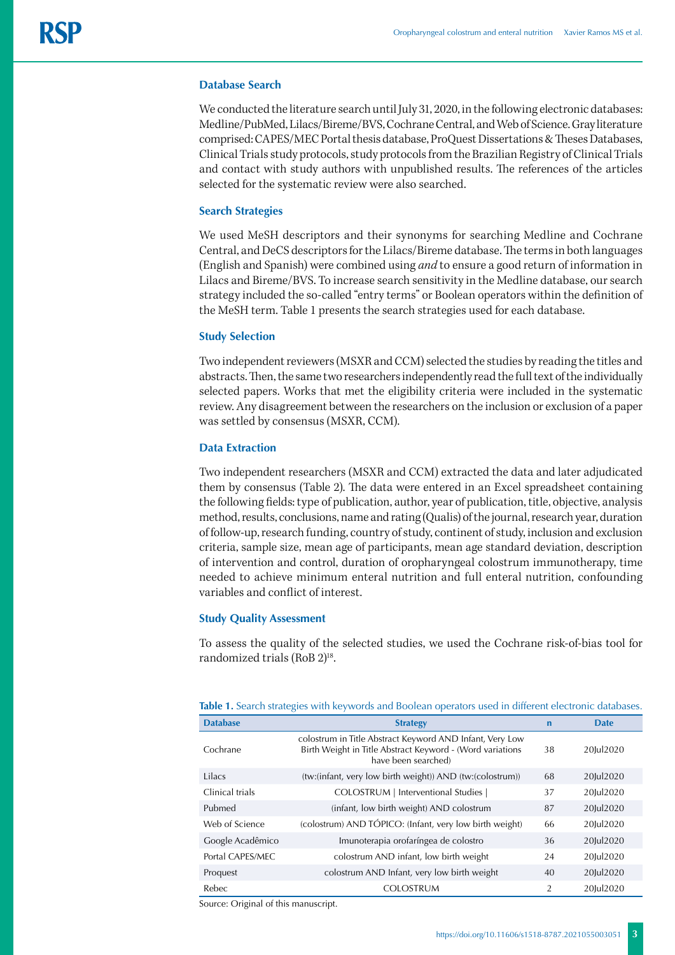## **Database Search**

We conducted the literature search until July 31, 2020, in the following electronic databases: Medline/PubMed, Lilacs/Bireme/BVS, Cochrane Central, and Web of Science. Gray literature comprised: CAPES/MEC Portal thesis database, ProQuest Dissertations & Theses Databases, Clinical Trials study protocols, study protocols from the Brazilian Registry of Clinical Trials and contact with study authors with unpublished results. The references of the articles selected for the systematic review were also searched.

## **Search Strategies**

We used MeSH descriptors and their synonyms for searching Medline and Cochrane Central, and DeCS descriptors for the Lilacs/Bireme database. The terms in both languages (English and Spanish) were combined using *and* to ensure a good return of information in Lilacs and Bireme/BVS. To increase search sensitivity in the Medline database, our search strategy included the so-called "entry terms" or Boolean operators within the definition of the MeSH term. Table 1 presents the search strategies used for each database.

## **Study Selection**

Two independent reviewers (MSXR and CCM) selected the studies by reading the titles and abstracts. Then, the same two researchers independently read the full text of the individually selected papers. Works that met the eligibility criteria were included in the systematic review. Any disagreement between the researchers on the inclusion or exclusion of a paper was settled by consensus (MSXR, CCM).

### **Data Extraction**

Two independent researchers (MSXR and CCM) extracted the data and later adjudicated them by consensus (Table 2). The data were entered in an Excel spreadsheet containing the following fields: type of publication, author, year of publication, title, objective, analysis method, results, conclusions, name and rating (Qualis) of the journal, research year, duration of follow-up, research funding, country of study, continent of study, inclusion and exclusion criteria, sample size, mean age of participants, mean age standard deviation, description of intervention and control, duration of oropharyngeal colostrum immunotherapy, time needed to achieve minimum enteral nutrition and full enteral nutrition, confounding variables and conflict of interest.

## **Study Quality Assessment**

To assess the quality of the selected studies, we used the Cochrane risk-of-bias tool for randomized trials (RoB 2)<sup>18</sup>.

| <b>Database</b>  | <b>Strategy</b>                                                                                                                              | $\mathbf n$    | <b>Date</b> |
|------------------|----------------------------------------------------------------------------------------------------------------------------------------------|----------------|-------------|
| Cochrane         | colostrum in Title Abstract Keyword AND Infant, Very Low<br>Birth Weight in Title Abstract Keyword - (Word variations<br>have been searched) | 38             | 20Iul2020   |
| Lilacs           | (tw:(infant, very low birth weight)) AND (tw:(colostrum))                                                                                    | 68             | 20Jul2020   |
| Clinical trials  | COLOSTRUM   Interventional Studies                                                                                                           | 37             | 20Jul2020   |
| Pubmed           | (infant, low birth weight) AND colostrum                                                                                                     | 87             | 20Jul2020   |
| Web of Science   | (colostrum) AND TÓPICO: (Infant, very low birth weight)                                                                                      | 66             | 20Jul2020   |
| Google Acadêmico | Imunoterapia orofaríngea de colostro                                                                                                         | 36             | 20Jul2020   |
| Portal CAPES/MEC | colostrum AND infant, low birth weight                                                                                                       | 24             | 20Jul2020   |
| Proquest         | colostrum AND Infant, very low birth weight                                                                                                  | 40             | 20Jul2020   |
| <b>Rebec</b>     | <b>COLOSTRUM</b>                                                                                                                             | $\overline{2}$ | 20Iul2020   |

**Table 1.** Search strategies with keywords and Boolean operators used in different electronic databases.

Source: Original of this manuscript.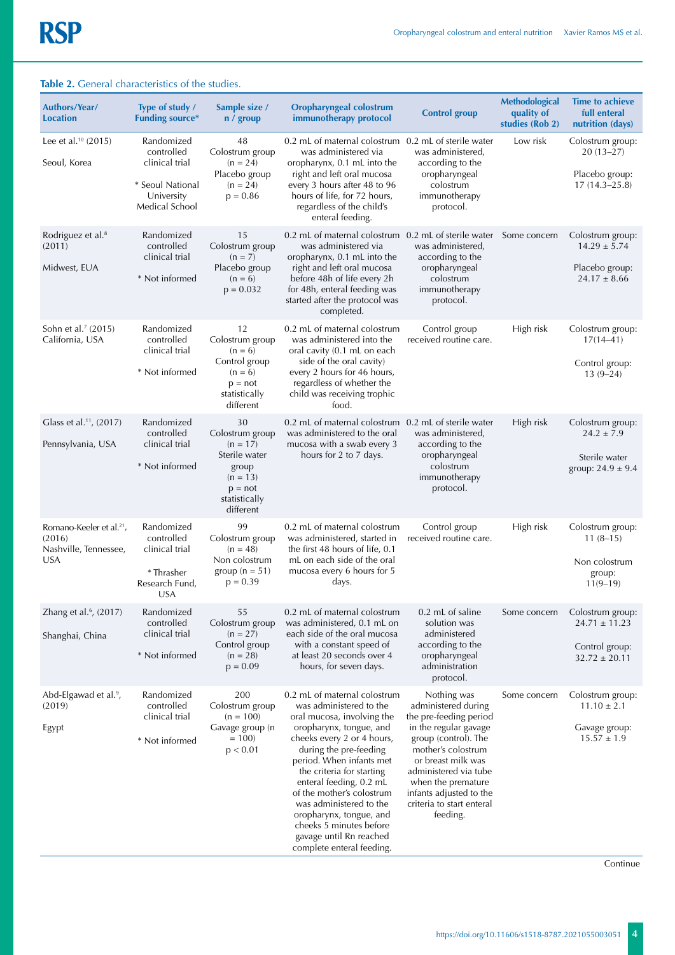| <b>lable 2.</b> General characteristics of the studies.                               |                                                                                                |                                                                                                                        |                                                                                                                                                                                                                                                                                                                                                                                                                                    |                                                                                                                                                                                                                                                                              |                                                 |                                                                              |
|---------------------------------------------------------------------------------------|------------------------------------------------------------------------------------------------|------------------------------------------------------------------------------------------------------------------------|------------------------------------------------------------------------------------------------------------------------------------------------------------------------------------------------------------------------------------------------------------------------------------------------------------------------------------------------------------------------------------------------------------------------------------|------------------------------------------------------------------------------------------------------------------------------------------------------------------------------------------------------------------------------------------------------------------------------|-------------------------------------------------|------------------------------------------------------------------------------|
| <b>Authors/Year/</b><br><b>Location</b>                                               | Type of study /<br><b>Funding source*</b>                                                      | Sample size /<br>n / group                                                                                             | <b>Oropharyngeal colostrum</b><br>immunotherapy protocol                                                                                                                                                                                                                                                                                                                                                                           | <b>Control group</b>                                                                                                                                                                                                                                                         | Methodological<br>quality of<br>studies (Rob 2) | <b>Time to achieve</b><br>full enteral<br>nutrition (days)                   |
| Lee et al. $10(2015)$<br>Seoul, Korea                                                 | Randomized<br>controlled<br>clinical trial<br>* Seoul National<br>University<br>Medical School | 48<br>Colostrum group<br>$(n = 24)$<br>Placebo group<br>$(n = 24)$<br>$p = 0.86$                                       | 0.2 mL of maternal colostrum 0.2 mL of sterile water<br>was administered via<br>oropharynx, 0.1 mL into the<br>right and left oral mucosa<br>every 3 hours after 48 to 96<br>hours of life, for 72 hours,<br>regardless of the child's<br>enteral feeding.                                                                                                                                                                         | was administered,<br>according to the<br>oropharyngeal<br>colostrum<br>immunotherapy<br>protocol.                                                                                                                                                                            | Low risk                                        | Colostrum group:<br>$20(13-27)$<br>Placebo group:<br>$17(14.3 - 25.8)$       |
| Rodriguez et al. <sup>8</sup><br>(2011)<br>Midwest, EUA                               | Randomized<br>controlled<br>clinical trial<br>* Not informed                                   | 15<br>Colostrum group<br>$(n = 7)$<br>Placebo group<br>$(n = 6)$<br>$p = 0.032$                                        | 0.2 mL of maternal colostrum 0.2 mL of sterile water<br>was administered via<br>oropharynx, 0.1 mL into the<br>right and left oral mucosa<br>before 48h of life every 2h<br>for 48h, enteral feeding was<br>started after the protocol was<br>completed.                                                                                                                                                                           | was administered,<br>according to the<br>oropharyngeal<br>colostrum<br>immunotherapy<br>protocol.                                                                                                                                                                            | Some concern                                    | Colostrum group:<br>$14.29 \pm 5.74$<br>Placebo group:<br>$24.17 \pm 8.66$   |
| Sohn et al. <sup>7</sup> (2015)<br>California, USA                                    | Randomized<br>controlled<br>clinical trial<br>* Not informed                                   | 12<br>Colostrum group<br>$(n = 6)$<br>Control group<br>$(n = 6)$<br>$p = not$<br>statistically<br>different            | 0.2 mL of maternal colostrum<br>was administered into the<br>oral cavity (0.1 mL on each<br>side of the oral cavity)<br>every 2 hours for 46 hours,<br>regardless of whether the<br>child was receiving trophic<br>food.                                                                                                                                                                                                           | Control group<br>received routine care.                                                                                                                                                                                                                                      | High risk                                       | Colostrum group:<br>$17(14 - 41)$<br>Control group:<br>$13(9-24)$            |
| Glass et al. <sup>11</sup> , (2017)<br>Pennsylvania, USA                              | Randomized<br>controlled<br>clinical trial<br>* Not informed                                   | 30<br>Colostrum group<br>$(n = 17)$<br>Sterile water<br>group<br>$(n = 13)$<br>$p = not$<br>statistically<br>different | 0.2 mL of maternal colostrum 0.2 mL of sterile water<br>was administered to the oral<br>mucosa with a swab every 3<br>hours for 2 to 7 days.                                                                                                                                                                                                                                                                                       | was administered,<br>according to the<br>oropharyngeal<br>colostrum<br>immunotherapy<br>protocol.                                                                                                                                                                            | High risk                                       | Colostrum group:<br>$24.2 \pm 7.9$<br>Sterile water<br>group: $24.9 \pm 9.4$ |
| Romano-Keeler et al. <sup>21</sup> ,<br>(2016)<br>Nashville, Tennessee,<br><b>USA</b> | Randomized<br>controlled<br>clinical trial<br>* Thrasher<br>Research Fund,<br><b>USA</b>       | 99<br>Colostrum group<br>$(n = 48)$<br>Non colostrum<br>group ( $n = 51$ )<br>$p = 0.39$                               | 0.2 mL of maternal colostrum<br>was administered, started in<br>the first 48 hours of life, 0.1<br>mL on each side of the oral<br>mucosa every 6 hours for 5<br>days.                                                                                                                                                                                                                                                              | Control group<br>received routine care.                                                                                                                                                                                                                                      | High risk                                       | Colostrum group:<br>$11(8-15)$<br>Non colostrum<br>group:<br>$11(9-19)$      |
| Zhang et al. <sup>6</sup> , (2017)<br>Shanghai, China                                 | Randomized<br>controlled<br>clinical trial<br>* Not informed                                   | 55<br>Colostrum group<br>$(n = 27)$<br>Control group<br>$(n = 28)$<br>$p = 0.09$                                       | 0.2 mL of maternal colostrum<br>was administered, 0.1 mL on<br>each side of the oral mucosa<br>with a constant speed of<br>at least 20 seconds over 4<br>hours, for seven days.                                                                                                                                                                                                                                                    | 0.2 mL of saline<br>solution was<br>administered<br>according to the<br>oropharyngeal<br>administration<br>protocol.                                                                                                                                                         | Some concern                                    | Colostrum group:<br>$24.71 \pm 11.23$<br>Control group:<br>$32.72 \pm 20.11$ |
| Abd-Elgawad et al. <sup>9</sup> ,<br>(2019)<br>Egypt                                  | Randomized<br>controlled<br>clinical trial<br>* Not informed                                   | 200<br>Colostrum group<br>$(n = 100)$<br>Gavage group (n<br>$= 100$<br>p < 0.01                                        | 0.2 mL of maternal colostrum<br>was administered to the<br>oral mucosa, involving the<br>oropharynx, tongue, and<br>cheeks every 2 or 4 hours,<br>during the pre-feeding<br>period. When infants met<br>the criteria for starting<br>enteral feeding, 0.2 mL<br>of the mother's colostrum<br>was administered to the<br>oropharynx, tongue, and<br>cheeks 5 minutes before<br>gavage until Rn reached<br>complete enteral feeding. | Nothing was<br>administered during<br>the pre-feeding period<br>in the regular gavage<br>group (control). The<br>mother's colostrum<br>or breast milk was<br>administered via tube<br>when the premature<br>infants adjusted to the<br>criteria to start enteral<br>feeding. | Some concern                                    | Colostrum group:<br>$11.10 \pm 2.1$<br>Gavage group:<br>$15.57 \pm 1.9$      |

# **Table 2.** General characteristics of the studies.

Continue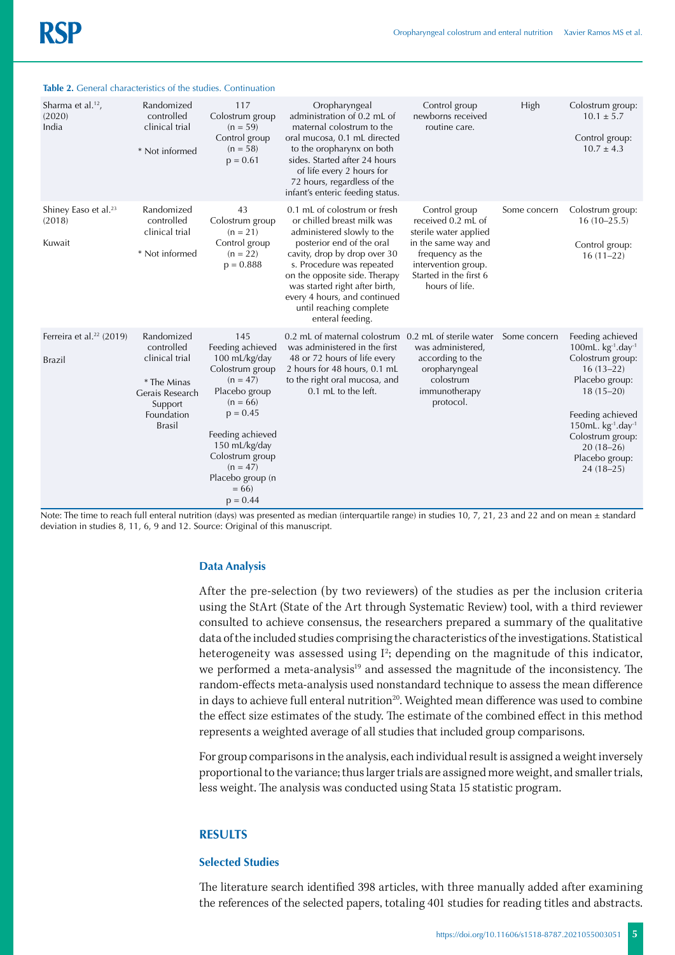| Sharma et al. <sup>12</sup> ,<br>(2020)<br>India      | Randomized<br>controlled<br>clinical trial<br>* Not informed                                                           | 117<br>Colostrum group<br>$(n = 59)$<br>Control group<br>$(n = 58)$<br>$p = 0.61$                                                                                                                                                        | Oropharyngeal<br>administration of 0.2 mL of<br>maternal colostrum to the<br>oral mucosa, 0.1 mL directed<br>to the oropharynx on both<br>sides. Started after 24 hours<br>of life every 2 hours for<br>72 hours, regardless of the<br>infant's enteric feeding status.                                                              | Control group<br>newborns received<br>routine care.                                                                                                                        | High         | Colostrum group:<br>$10.1 \pm 5.7$<br>Control group:<br>$10.7 \pm 4.3$                                                                                                                                                                                     |
|-------------------------------------------------------|------------------------------------------------------------------------------------------------------------------------|------------------------------------------------------------------------------------------------------------------------------------------------------------------------------------------------------------------------------------------|--------------------------------------------------------------------------------------------------------------------------------------------------------------------------------------------------------------------------------------------------------------------------------------------------------------------------------------|----------------------------------------------------------------------------------------------------------------------------------------------------------------------------|--------------|------------------------------------------------------------------------------------------------------------------------------------------------------------------------------------------------------------------------------------------------------------|
| Shiney Easo et al. <sup>23</sup><br>(2018)<br>Kuwait  | Randomized<br>controlled<br>clinical trial<br>* Not informed                                                           | 43<br>Colostrum group<br>$(n = 21)$<br>Control group<br>$(n = 22)$<br>$p = 0.888$                                                                                                                                                        | 0.1 mL of colostrum or fresh<br>or chilled breast milk was<br>administered slowly to the<br>posterior end of the oral<br>cavity, drop by drop over 30<br>s. Procedure was repeated<br>on the opposite side. Therapy<br>was started right after birth,<br>every 4 hours, and continued<br>until reaching complete<br>enteral feeding. | Control group<br>received 0.2 mL of<br>sterile water applied<br>in the same way and<br>frequency as the<br>intervention group.<br>Started in the first 6<br>hours of life. | Some concern | Colostrum group:<br>$16(10-25.5)$<br>Control group:<br>$16(11-22)$                                                                                                                                                                                         |
| Ferreira et al. <sup>22</sup> (2019)<br><b>Brazil</b> | Randomized<br>controlled<br>clinical trial<br>* The Minas<br>Gerais Research<br>Support<br>Foundation<br><b>Brasil</b> | 145<br>Feeding achieved<br>100 mL/kg/day<br>Colostrum group<br>$(n = 47)$<br>Placebo group<br>$(n = 66)$<br>$p = 0.45$<br>Feeding achieved<br>150 mL/kg/day<br>Colostrum group<br>$(n = 47)$<br>Placebo group (n<br>$= 66$<br>$p = 0.44$ | 0.2 mL of maternal colostrum 0.2 mL of sterile water<br>was administered in the first<br>48 or 72 hours of life every<br>2 hours for 48 hours, 0.1 mL<br>to the right oral mucosa, and<br>0.1 mL to the left.                                                                                                                        | was administered,<br>according to the<br>oropharyngeal<br>colostrum<br>immunotherapy<br>protocol.                                                                          | Some concern | Feeding achieved<br>100mL. $kg^{-1}$ .day <sup>-1</sup><br>Colostrum group:<br>$16(13-22)$<br>Placebo group:<br>$18(15-20)$<br>Feeding achieved<br>150mL. $kg^{-1}$ .day <sup>-1</sup><br>Colostrum group:<br>$20(18-26)$<br>Placebo group:<br>$24(18-25)$ |

### **Table 2.** General characteristics of the studies. Continuation

Note: The time to reach full enteral nutrition (days) was presented as median (interquartile range) in studies 10, 7, 21, 23 and 22 and on mean  $\pm$  standard deviation in studies 8, 11, 6, 9 and 12. Source: Original of this manuscript.

## **Data Analysis**

After the pre-selection (by two reviewers) of the studies as per the inclusion criteria using the StArt (State of the Art through Systematic Review) tool, with a third reviewer consulted to achieve consensus, the researchers prepared a summary of the qualitative data of the included studies comprising the characteristics of the investigations. Statistical heterogeneity was assessed using I<sup>2</sup>; depending on the magnitude of this indicator, we performed a meta-analysis<sup>19</sup> and assessed the magnitude of the inconsistency. The random-effects meta-analysis used nonstandard technique to assess the mean difference in days to achieve full enteral nutrition<sup>20</sup>. Weighted mean difference was used to combine the effect size estimates of the study. The estimate of the combined effect in this method represents a weighted average of all studies that included group comparisons.

For group comparisons in the analysis, each individual result is assigned a weight inversely proportional to the variance; thus larger trials are assigned more weight, and smaller trials, less weight. The analysis was conducted using Stata 15 statistic program.

## **RESULTS**

#### **Selected Studies**

The literature search identified 398 articles, with three manually added after examining the references of the selected papers, totaling 401 studies for reading titles and abstracts.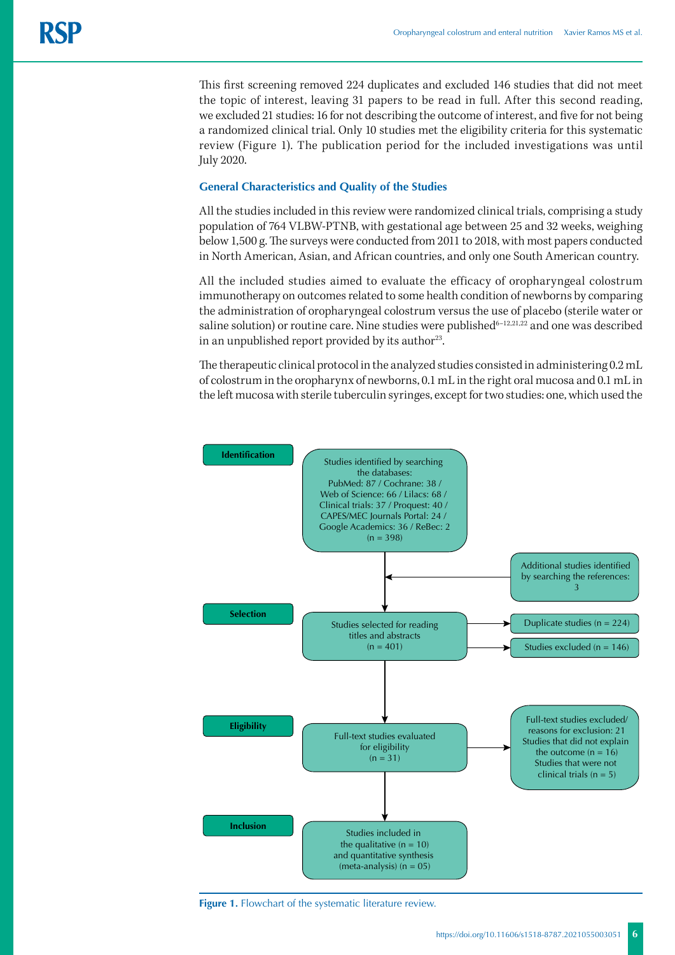This first screening removed 224 duplicates and excluded 146 studies that did not meet the topic of interest, leaving 31 papers to be read in full. After this second reading, we excluded 21 studies: 16 for not describing the outcome of interest, and five for not being a randomized clinical trial. Only 10 studies met the eligibility criteria for this systematic review (Figure 1). The publication period for the included investigations was until July 2020.

## **General Characteristics and Quality of the Studies**

All the studies included in this review were randomized clinical trials, comprising a study population of 764 VLBW-PTNB, with gestational age between 25 and 32 weeks, weighing below 1,500 g. The surveys were conducted from 2011 to 2018, with most papers conducted in North American, Asian, and African countries, and only one South American country.

All the included studies aimed to evaluate the efficacy of oropharyngeal colostrum immunotherapy on outcomes related to some health condition of newborns by comparing the administration of oropharyngeal colostrum versus the use of placebo (sterile water or saline solution) or routine care. Nine studies were published<sup>6-12,21,22</sup> and one was described in an unpublished report provided by its author<sup>23</sup>.

The therapeutic clinical protocol in the analyzed studies consisted in administering 0.2 mL of colostrum in the oropharynx of newborns, 0.1 mL in the right oral mucosa and 0.1 mL in the left mucosa with sterile tuberculin syringes, except for two studies: one, which used the



**Figure 1.** Flowchart of the systematic literature review.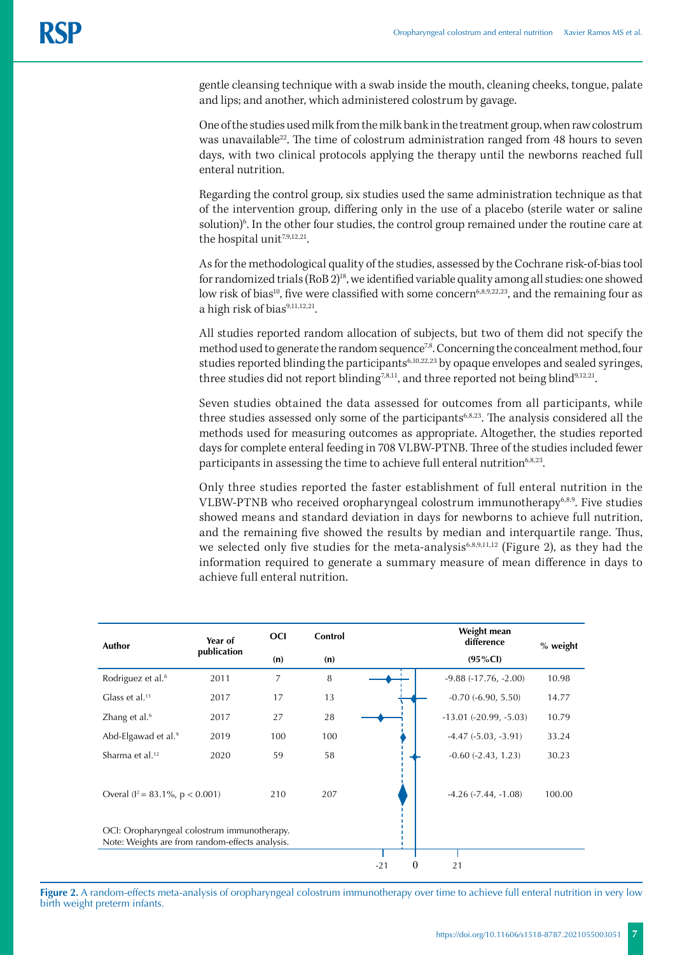gentle cleansing technique with a swab inside the mouth, cleaning cheeks, tongue, palate and lips; and another, which administered colostrum by gavage.

One of the studies used milk from the milk bank in the treatment group, when raw colostrum was unavailable<sup>22</sup>. The time of colostrum administration ranged from 48 hours to seven days, with two clinical protocols applying the therapy until the newborns reached full enteral nutrition.

Regarding the control group, six studies used the same administration technique as that of the intervention group, differing only in the use of a placebo (sterile water or saline solution)<sup>6</sup>. In the other four studies, the control group remained under the routine care at the hospital unit<sup>7,9,12,21</sup>.

As for the methodological quality of the studies, assessed by the Cochrane risk-of-bias tool for randomized trials (RoB 2)18, we identified variable quality among all studies: one showed low risk of bias<sup>10</sup>, five were classified with some concern<sup>6,8,9,22,23</sup>, and the remaining four as a high risk of bias<sup>9,11,12,21</sup>.

All studies reported random allocation of subjects, but two of them did not specify the method used to generate the random sequence<sup>7,8</sup>. Concerning the concealment method, four studies reported blinding the participants<sup>6,10,22,23</sup> by opaque envelopes and sealed syringes, three studies did not report blinding<sup>7,8,11</sup>, and three reported not being blind<sup>9,12,21</sup>.

Seven studies obtained the data assessed for outcomes from all participants, while three studies assessed only some of the participants<sup>6,8,23</sup>. The analysis considered all the methods used for measuring outcomes as appropriate. Altogether, the studies reported days for complete enteral feeding in 708 VLBW-PTNB. Three of the studies included fewer participants in assessing the time to achieve full enteral nutrition<sup>6,8,23</sup>.

Only three studies reported the faster establishment of full enteral nutrition in the VLBW-PTNB who received oropharyngeal colostrum immunotherapy<sup>6,8,9</sup>. Five studies showed means and standard deviation in days for newborns to achieve full nutrition, and the remaining five showed the results by median and interquartile range. Thus, we selected only five studies for the meta-analysis<sup>6,8,9,11,12</sup> (Figure 2), as they had the information required to generate a summary measure of mean difference in days to achieve full enteral nutrition.

| Author                                                                                         | Year of     | <b>OCI</b> | Control | Weight mean<br>difference<br>% weight |                            |        |
|------------------------------------------------------------------------------------------------|-------------|------------|---------|---------------------------------------|----------------------------|--------|
|                                                                                                | publication | (n)        | (n)     | $(95\%CI)$                            |                            |        |
| Rodriguez et al. <sup>8</sup>                                                                  | 2011        | 7          | 8       | ٠                                     | $-9.88$ $(-17.76, -2.00)$  | 10.98  |
| Glass et al. $11$                                                                              | 2017        | 17         | 13      |                                       | $-0.70(-6.90, 5.50)$       | 14.77  |
| Zhang et al. <sup>6</sup>                                                                      | 2017        | 27         | 28      |                                       | $-13.01$ $(-20.99, -5.03)$ | 10.79  |
| Abd-Elgawad et al. <sup>9</sup>                                                                | 2019        | 100        | 100     |                                       | $-4.47$ $(-5.03, -3.91)$   | 33.24  |
| Sharma et al. <sup>12</sup>                                                                    | 2020        | 59         | 58      |                                       | $-0.60$ $(-2.43, 1.23)$    | 30.23  |
| Overal ( $l^2 = 83.1\%$ , $p < 0.001$ )                                                        |             | 210        | 207     |                                       | $-4.26$ $(-7.44, -1.08)$   | 100.00 |
| OCI: Oropharyngeal colostrum immunotherapy.<br>Note: Weights are from random-effects analysis. |             |            |         |                                       |                            |        |
|                                                                                                |             |            |         |                                       |                            |        |
|                                                                                                |             |            |         | $\theta$<br>$-21$                     | 21                         |        |

**Figure 2.** A random-effects meta-analysis of oropharyngeal colostrum immunotherapy over time to achieve full enteral nutrition in very low birth weight preterm infants.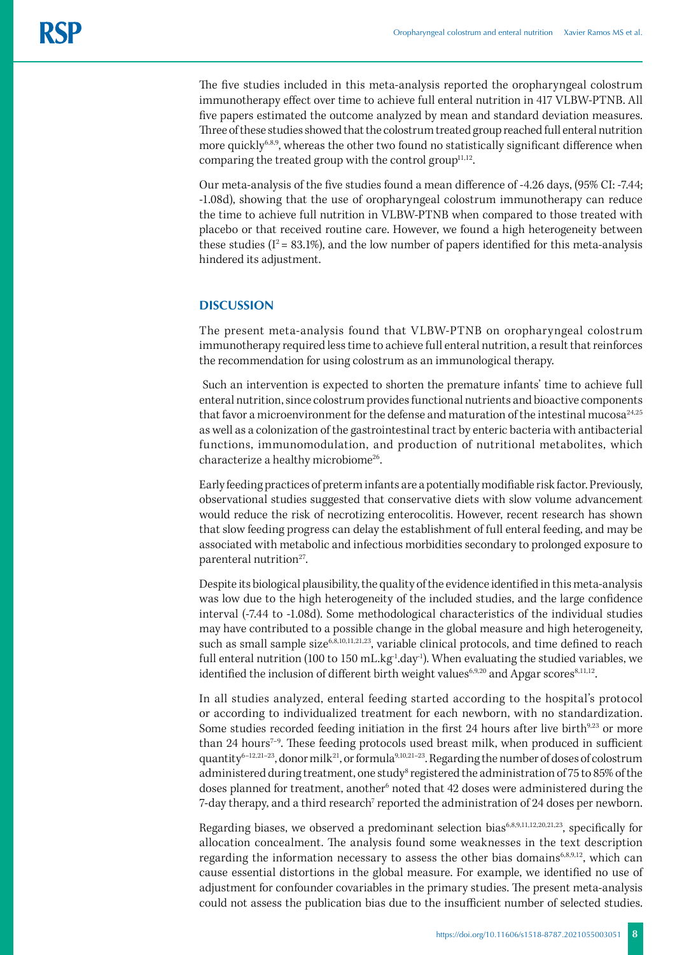The five studies included in this meta-analysis reported the oropharyngeal colostrum immunotherapy effect over time to achieve full enteral nutrition in 417 VLBW-PTNB. All five papers estimated the outcome analyzed by mean and standard deviation measures. Three of these studies showed that the colostrum treated group reached full enteral nutrition more quickly<sup>6,8,9</sup>, whereas the other two found no statistically significant difference when comparing the treated group with the control group<sup>11,12</sup>.

Our meta-analysis of the five studies found a mean difference of -4.26 days, (95% CI: -7.44; -1.08d), showing that the use of oropharyngeal colostrum immunotherapy can reduce the time to achieve full nutrition in VLBW-PTNB when compared to those treated with placebo or that received routine care. However, we found a high heterogeneity between these studies ( $I^2 = 83.1\%$ ), and the low number of papers identified for this meta-analysis hindered its adjustment.

# **DISCUSSION**

The present meta-analysis found that VLBW-PTNB on oropharyngeal colostrum immunotherapy required less time to achieve full enteral nutrition, a result that reinforces the recommendation for using colostrum as an immunological therapy.

 Such an intervention is expected to shorten the premature infants' time to achieve full enteral nutrition, since colostrum provides functional nutrients and bioactive components that favor a microenvironment for the defense and maturation of the intestinal mucosa<sup>24,25</sup> as well as a colonization of the gastrointestinal tract by enteric bacteria with antibacterial functions, immunomodulation, and production of nutritional metabolites, which characterize a healthy microbiome<sup>26</sup>.

Early feeding practices of preterm infants are a potentially modifiable risk factor. Previously, observational studies suggested that conservative diets with slow volume advancement would reduce the risk of necrotizing enterocolitis. However, recent research has shown that slow feeding progress can delay the establishment of full enteral feeding, and may be associated with metabolic and infectious morbidities secondary to prolonged exposure to parenteral nutrition $27$ .

Despite its biological plausibility, the quality of the evidence identified in this meta-analysis was low due to the high heterogeneity of the included studies, and the large confidence interval (-7.44 to -1.08d). Some methodological characteristics of the individual studies may have contributed to a possible change in the global measure and high heterogeneity, such as small sample size<sup>6,8,10,11,21,23</sup>, variable clinical protocols, and time defined to reach full enteral nutrition (100 to 150 mL.kg<sup>-1</sup>.day<sup>-1</sup>). When evaluating the studied variables, we identified the inclusion of different birth weight values<sup>6,9,20</sup> and Apgar scores<sup>8,11,12</sup>.

In all studies analyzed, enteral feeding started according to the hospital's protocol or according to individualized treatment for each newborn, with no standardization. Some studies recorded feeding initiation in the first 24 hours after live birth $923$  or more than 24 hours<sup>7-9</sup>. These feeding protocols used breast milk, when produced in sufficient quantity<sup>6-12,21-23</sup>, donor milk<sup>21</sup>, or formula<sup>9,10,21-23</sup>. Regarding the number of doses of colostrum administered during treatment, one study<sup>s</sup> registered the administration of 75 to 85% of the doses planned for treatment, another<sup>6</sup> noted that 42 doses were administered during the 7-day therapy, and a third research $^7$  reported the administration of 24 doses per newborn.

Regarding biases, we observed a predominant selection bias<sup>6,8,9,11,12,20,21,23</sup>, specifically for allocation concealment. The analysis found some weaknesses in the text description regarding the information necessary to assess the other bias domains $6,8,9,12$ , which can cause essential distortions in the global measure. For example, we identified no use of adjustment for confounder covariables in the primary studies. The present meta-analysis could not assess the publication bias due to the insufficient number of selected studies.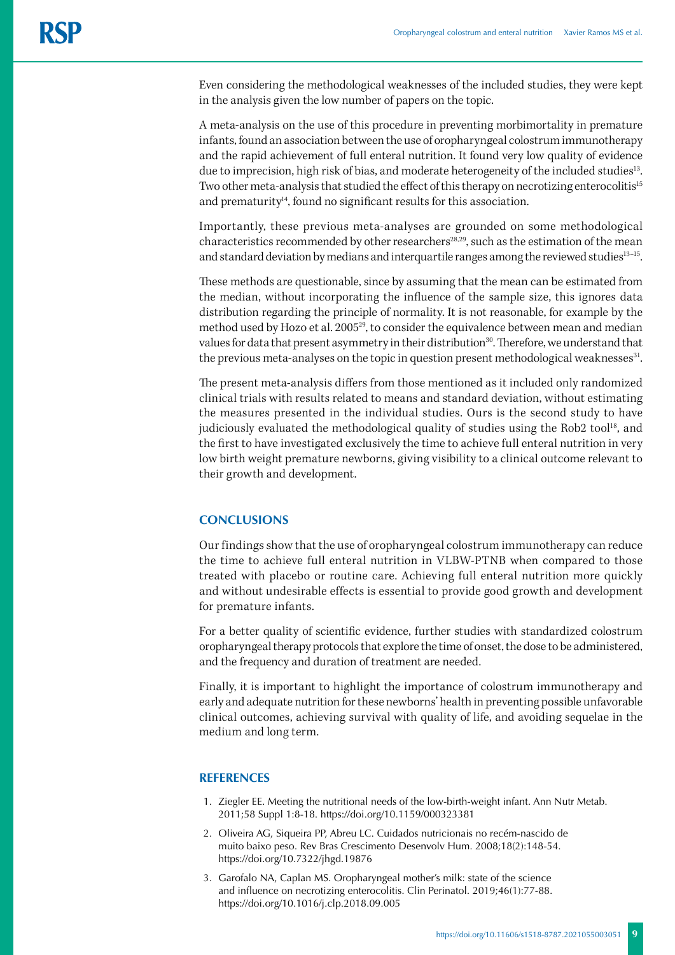Even considering the methodological weaknesses of the included studies, they were kept in the analysis given the low number of papers on the topic.

A meta-analysis on the use of this procedure in preventing morbimortality in premature infants, found an association between the use of oropharyngeal colostrum immunotherapy and the rapid achievement of full enteral nutrition. It found very low quality of evidence due to imprecision, high risk of bias, and moderate heterogeneity of the included studies<sup>13</sup>. Two other meta-analysis that studied the effect of this therapy on necrotizing enterocolitis<sup>15</sup> and prematurity $14$ , found no significant results for this association.

Importantly, these previous meta-analyses are grounded on some methodological characteristics recommended by other researchers<sup>28,29</sup>, such as the estimation of the mean and standard deviation by medians and interquartile ranges among the reviewed studies<sup>13-15</sup>.

These methods are questionable, since by assuming that the mean can be estimated from the median, without incorporating the influence of the sample size, this ignores data distribution regarding the principle of normality. It is not reasonable, for example by the method used by Hozo et al. 2005<sup>29</sup>, to consider the equivalence between mean and median values for data that present asymmetry in their distribution<sup>30</sup>. Therefore, we understand that the previous meta-analyses on the topic in question present methodological weaknesses<sup>31</sup>.

The present meta-analysis differs from those mentioned as it included only randomized clinical trials with results related to means and standard deviation, without estimating the measures presented in the individual studies. Ours is the second study to have judiciously evaluated the methodological quality of studies using the Rob2 tool<sup>18</sup>, and the first to have investigated exclusively the time to achieve full enteral nutrition in very low birth weight premature newborns, giving visibility to a clinical outcome relevant to their growth and development.

# **CONCLUSIONS**

Our findings show that the use of oropharyngeal colostrum immunotherapy can reduce the time to achieve full enteral nutrition in VLBW-PTNB when compared to those treated with placebo or routine care. Achieving full enteral nutrition more quickly and without undesirable effects is essential to provide good growth and development for premature infants.

For a better quality of scientific evidence, further studies with standardized colostrum oropharyngeal therapy protocols that explore the time of onset, the dose to be administered, and the frequency and duration of treatment are needed.

Finally, it is important to highlight the importance of colostrum immunotherapy and early and adequate nutrition for these newborns' health in preventing possible unfavorable clinical outcomes, achieving survival with quality of life, and avoiding sequelae in the medium and long term.

# **REFERENCES**

- 1. Ziegler EE. Meeting the nutritional needs of the low-birth-weight infant. Ann Nutr Metab. 2011;58 Suppl 1:8-18. https://doi.org/10.1159/000323381
- 2. Oliveira AG, Siqueira PP, Abreu LC. Cuidados nutricionais no recém-nascido de muito baixo peso. Rev Bras Crescimento Desenvolv Hum. 2008;18(2):148-54. https://doi.org/10.7322/jhgd.19876
- 3. Garofalo NA, Caplan MS. Oropharyngeal mother's milk: state of the science and influence on necrotizing enterocolitis. Clin Perinatol. 2019;46(1):77-88. https://doi.org/10.1016/j.clp.2018.09.005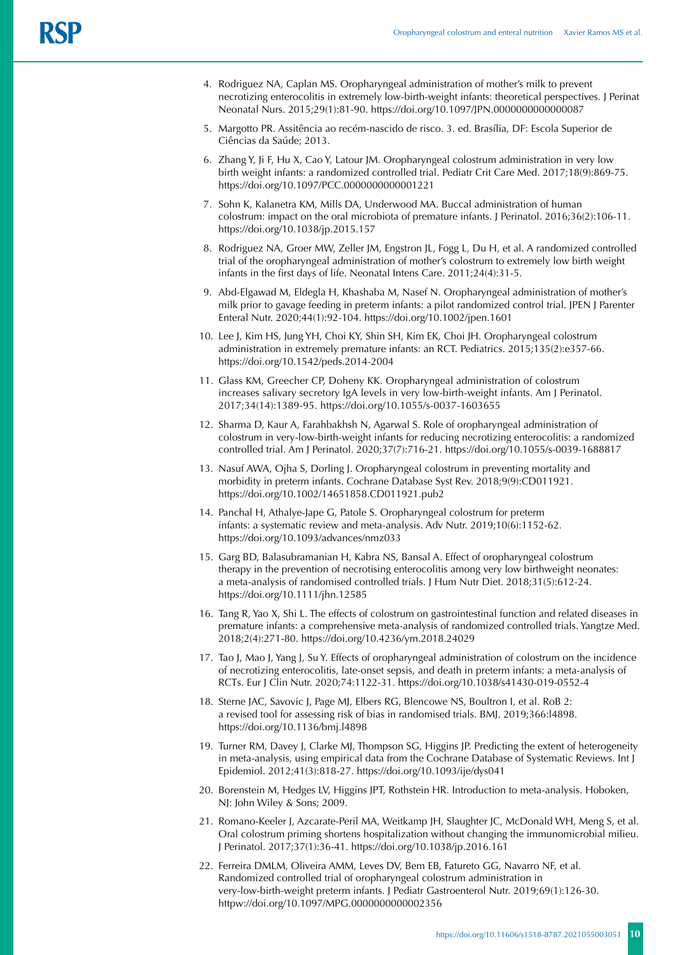- 4. Rodriguez NA, Caplan MS. Oropharyngeal administration of mother's milk to prevent necrotizing enterocolitis in extremely low-birth-weight infants: theoretical perspectives. J Perinat Neonatal Nurs. 2015;29(1):81-90. https://doi.org/10.1097/JPN.0000000000000087
- 5. Margotto PR. Assitência ao recém-nascido de risco. 3. ed. Brasília, DF: Escola Superior de Ciências da Saúde; 2013.
- 6. Zhang Y, Ji F, Hu X, Cao Y, Latour JM. Oropharyngeal colostrum administration in very low birth weight infants: a randomized controlled trial. Pediatr Crit Care Med. 2017;18(9):869-75. https://doi.org/10.1097/PCC.0000000000001221
- 7. Sohn K, Kalanetra KM, Mills DA, Underwood MA. Buccal administration of human colostrum: impact on the oral microbiota of premature infants. J Perinatol. 2016;36(2):106-11. https://doi.org/10.1038/jp.2015.157
- 8. Rodriguez NA, Groer MW, Zeller JM, Engstron JL, Fogg L, Du H, et al. A randomized controlled trial of the oropharyngeal administration of mother's colostrum to extremely low birth weight infants in the first days of life. Neonatal Intens Care. 2011;24(4):31-5.
- 9. Abd-Elgawad M, Eldegla H, Khashaba M, Nasef N. Oropharyngeal administration of mother's milk prior to gavage feeding in preterm infants: a pilot randomized control trial. JPEN J Parenter Enteral Nutr. 2020;44(1):92-104. https://doi.org/10.1002/jpen.1601
- 10. Lee J, Kim HS, Jung YH, Choi KY, Shin SH, Kim EK, Choi JH. Oropharyngeal colostrum administration in extremely premature infants: an RCT. Pediatrics. 2015;135(2):e357-66. https://doi.org/10.1542/peds.2014-2004
- 11. Glass KM, Greecher CP, Doheny KK. Oropharyngeal administration of colostrum increases salivary secretory IgA levels in very low-birth-weight infants. Am J Perinatol. 2017;34(14):1389-95. https://doi.org/10.1055/s-0037-1603655
- 12. Sharma D, Kaur A, Farahbakhsh N, Agarwal S. Role of oropharyngeal administration of colostrum in very-low-birth-weight infants for reducing necrotizing enterocolitis: a randomized controlled trial. Am J Perinatol. 2020;37(7):716-21. https://doi.org/10.1055/s-0039-1688817
- 13. Nasuf AWA, Ojha S, Dorling J. Oropharyngeal colostrum in preventing mortality and morbidity in preterm infants. Cochrane Database Syst Rev. 2018;9(9):CD011921. https://doi.org/10.1002/14651858.CD011921.pub2
- 14. Panchal H, Athalye-Jape G, Patole S. Oropharyngeal colostrum for preterm infants: a systematic review and meta-analysis. Adv Nutr. 2019;10(6):1152-62. https://doi.org/10.1093/advances/nmz033
- 15. Garg BD, Balasubramanian H, Kabra NS, Bansal A. Effect of oropharyngeal colostrum therapy in the prevention of necrotising enterocolitis among very low birthweight neonates: a meta-analysis of randomised controlled trials. J Hum Nutr Diet. 2018;31(5):612-24. https://doi.org/10.1111/jhn.12585
- 16. Tang R, Yao X, Shi L. The effects of colostrum on gastrointestinal function and related diseases in premature infants: a comprehensive meta-analysis of randomized controlled trials. Yangtze Med. 2018;2(4):271-80. https://doi.org/10.4236/ym.2018.24029
- 17. Tao J, Mao J, Yang J, Su Y. Effects of oropharyngeal administration of colostrum on the incidence of necrotizing enterocolitis, late-onset sepsis, and death in preterm infants: a meta-analysis of RCTs. Eur J Clin Nutr. 2020;74:1122-31. https://doi.org/10.1038/s41430-019-0552-4
- 18. Sterne JAC, Savovic J, Page MJ, Elbers RG, Blencowe NS, Boultron I, et al. RoB 2: a revised tool for assessing risk of bias in randomised trials. BMJ. 2019;366:l4898. <https://doi.org/10.1136/bmj.l4898>
- 19. Turner RM, Davey J, Clarke MJ, Thompson SG, Higgins JP. Predicting the extent of heterogeneity in meta-analysis, using empirical data from the Cochrane Database of Systematic Reviews. Int J Epidemiol. 2012;41(3):818-27. https://doi.org/10.1093/ije/dys041
- 20. Borenstein M, Hedges LV, Higgins JPT, Rothstein HR. Introduction to meta-analysis. Hoboken, NJ: John Wiley & Sons; 2009.
- 21. Romano-Keeler J, Azcarate-Peril MA, Weitkamp JH, Slaughter JC, McDonald WH, Meng S, et al. Oral colostrum priming shortens hospitalization without changing the immunomicrobial milieu. J Perinatol. 2017;37(1):36-41. https://doi.org/10.1038/jp.2016.161
- 22. Ferreira DMLM, Oliveira AMM, Leves DV, Bem EB, Fatureto GG, Navarro NF, et al. Randomized controlled trial of oropharyngeal colostrum administration in very-low-birth-weight preterm infants. J Pediatr Gastroenterol Nutr. 2019;69(1):126-30. httpw://doi.org/10.1097/MPG.0000000000002356